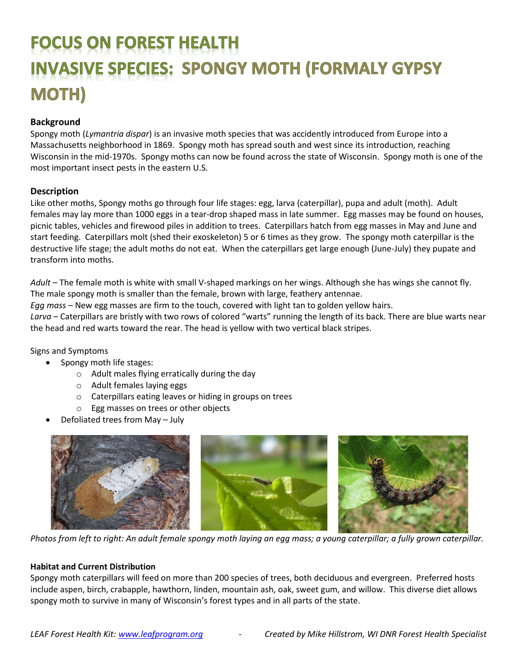# **FOCUS ON FOREST HEALTH INVASIVE SPECIES: SPONGY MOTH (FORMALY GYPSY) MOTH)**

## **Background**

Spongy moth (*Lymantria dispar*) is an invasive moth species that was accidently introduced from Europe into a Massachusetts neighborhood in 1869. Spongy moth has spread south and west since its introduction, reaching Wisconsin in the mid-1970s. Spongy moths can now be found across the state of Wisconsin. Spongy moth is one of the most important insect pests in the eastern U.S.

### **Description**

Like other moths, Spongy moths go through four life stages: egg, larva (caterpillar), pupa and adult (moth). Adult females may lay more than 1000 eggs in a tear-drop shaped mass in late summer. Egg masses may be found on houses, picnic tables, vehicles and firewood piles in addition to trees. Caterpillars hatch from egg masses in May and June and start feeding. Caterpillars molt (shed their exoskeleton) 5 or 6 times as they grow. The spongy moth caterpillar is the destructive life stage; the adult moths do not eat. When the caterpillars get large enough (June-July) they pupate and transform into moths.

*Adult* – The female moth is white with small V-shaped markings on her wings. Although she has wings she cannot fly. The male spongy moth is smaller than the female, brown with large, feathery antennae.

*Egg mass* – New egg masses are firm to the touch, covered with light tan to golden yellow hairs.

*Larva* – Caterpillars are bristly with two rows of colored "warts" running the length of its back. There are blue warts near the head and red warts toward the rear. The head is yellow with two vertical black stripes.

#### Signs and Symptoms

- Spongy moth life stages:
	- o Adult males flying erratically during the day
	- o Adult females laying eggs
	- o Caterpillars eating leaves or hiding in groups on trees
	- o Egg masses on trees or other objects
- Defoliated trees from May July



*Photos from left to right: An adult female spongy moth laying an egg mass; a young caterpillar; a fully grown caterpillar.* 

#### **Habitat and Current Distribution**

Spongy moth caterpillars will feed on more than 200 species of trees, both deciduous and evergreen. Preferred hosts include aspen, birch, crabapple, hawthorn, linden, mountain ash, oak, sweet gum, and willow. This diverse diet allows spongy moth to survive in many of Wisconsin's forest types and in all parts of the state.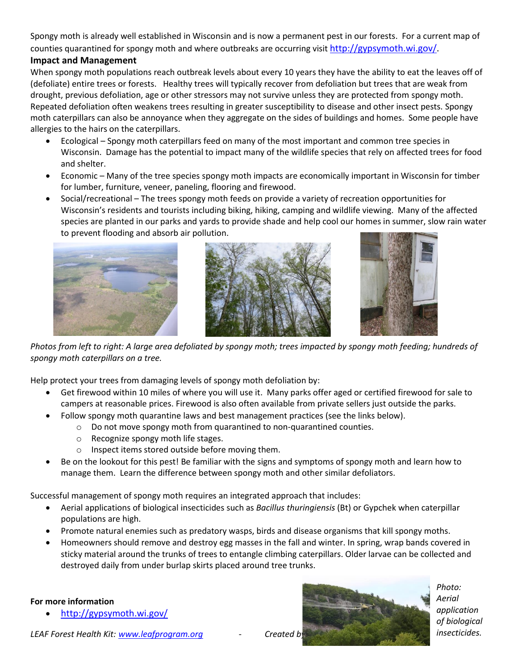Spongy moth is already well established in Wisconsin and is now a permanent pest in our forests. For a current map of counties quarantined for spongy moth and where outbreaks are occurring visit [http://gypsymoth.wi.gov/.](http://gypsymoth.wi.gov/)

# **Impact and Management**

When spongy moth populations reach outbreak levels about every 10 years they have the ability to eat the leaves off of (defoliate) entire trees or forests. Healthy trees will typically recover from defoliation but trees that are weak from drought, previous defoliation, age or other stressors may not survive unless they are protected from spongy moth. Repeated defoliation often weakens trees resulting in greater susceptibility to disease and other insect pests. Spongy moth caterpillars can also be annoyance when they aggregate on the sides of buildings and homes. Some people have allergies to the hairs on the caterpillars.

- Ecological Spongy moth caterpillars feed on many of the most important and common tree species in Wisconsin. Damage has the potential to impact many of the wildlife species that rely on affected trees for food and shelter.
- Economic Many of the tree species spongy moth impacts are economically important in Wisconsin for timber for lumber, furniture, veneer, paneling, flooring and firewood.
- Social/recreational The trees spongy moth feeds on provide a variety of recreation opportunities for Wisconsin's residents and tourists including biking, hiking, camping and wildlife viewing. Many of the affected species are planted in our parks and yards to provide shade and help cool our homes in summer, slow rain water to prevent flooding and absorb air pollution.







*Photos from left to right: A large area defoliated by spongy moth; trees impacted by spongy moth feeding; hundreds of spongy moth caterpillars on a tree.*

Help protect your trees from damaging levels of spongy moth defoliation by:

- Get firewood within 10 miles of where you will use it. Many parks offer aged or certified firewood for sale to campers at reasonable prices. Firewood is also often available from private sellers just outside the parks.
- Follow spongy moth quarantine laws and best management practices (see the links below).
	- o Do not move spongy moth from quarantined to non-quarantined counties.
	- o Recognize spongy moth life stages.
	- o Inspect items stored outside before moving them.
- Be on the lookout for this pest! Be familiar with the signs and symptoms of spongy moth and learn how to manage them. Learn the difference between spongy moth and other similar defoliators.

Successful management of spongy moth requires an integrated approach that includes:

- Aerial applications of biological insecticides such as *Bacillus thuringiensis* (Bt) or Gypchek when caterpillar populations are high.
- Promote natural enemies such as predatory wasps, birds and disease organisms that kill spongy moths.
- Homeowners should remove and destroy egg masses in the fall and winter. In spring, wrap bands covered in sticky material around the trunks of trees to entangle climbing caterpillars. Older larvae can be collected and destroyed daily from under burlap skirts placed around tree trunks.

#### **For more information**

• <http://gypsymoth.wi.gov/>





*Photo: Aerial application of biological insecticides.*